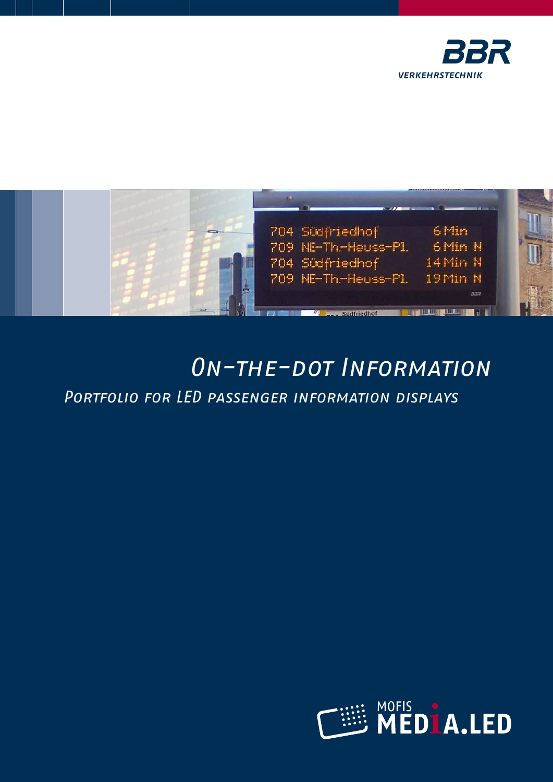



# On-the-dot Information

Portfolio for LED passenger information displays

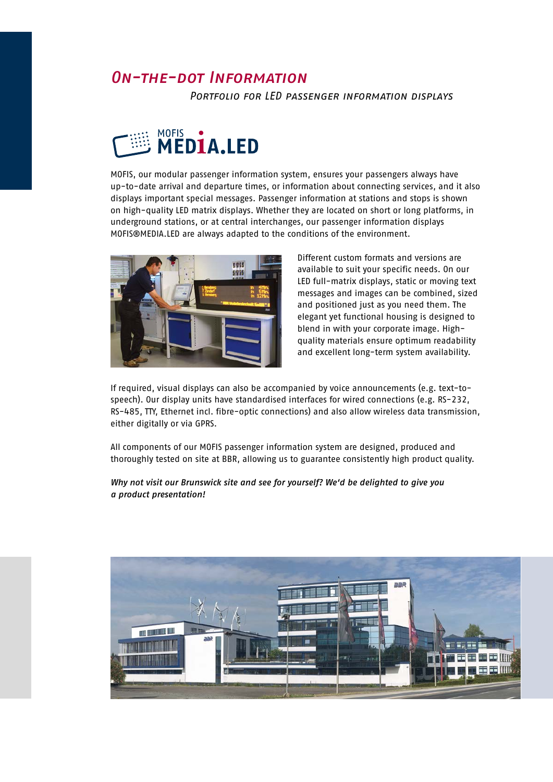### *On-the-dot Information*

Portfolio for LED passenger information displays



MOFIS, our modular passenger information system, ensures your passengers always have up-to-date arrival and departure times, or information about connecting services, and it also displays important special messages. Passenger information at stations and stops is shown on high-quality LED matrix displays. Whether they are located on short or long platforms, in underground stations, or at central interchanges, our passenger information displays MOFIS®MEDIA.LED are always adapted to the conditions of the environment.



Different custom formats and versions are available to suit your specific needs. On our LED full-matrix displays, static or moving text messages and images can be combined, sized and positioned just as you need them. The elegant yet functional housing is designed to blend in with your corporate image. Highquality materials ensure optimum readability and excellent long-term system availability.

If required, visual displays can also be accompanied by voice announcements (e.g. text-tospeech). Our display units have standardised interfaces for wired connections (e.g. RS-232, RS-485, TTY, Ethernet incl. fibre-optic connections) and also allow wireless data transmission, either digitally or via GPRS.

All components of our MOFIS passenger information system are designed, produced and thoroughly tested on site at BBR, allowing us to guarantee consistently high product quality.

*Why not visit our Brunswick site and see for yourself? We'd be delighted to give you a product presentation!*

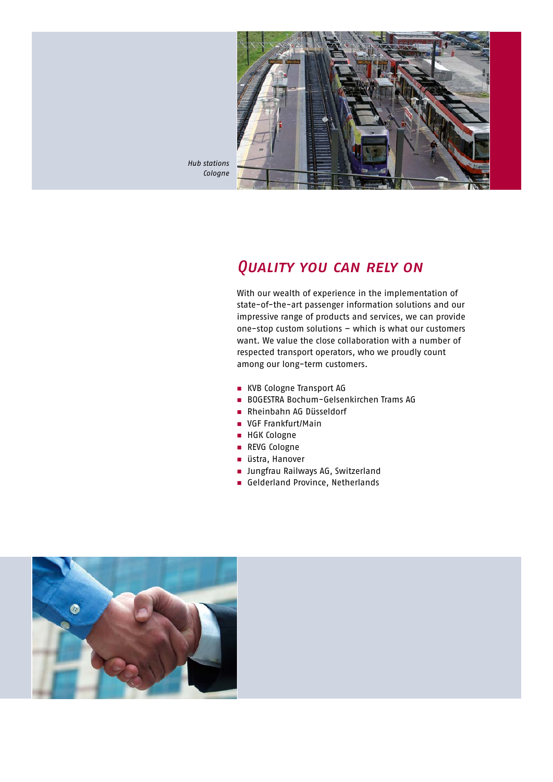

*Hub stations Cologne* 

### *Quality you can rely on*

With our wealth of experience in the implementation of state-of-the-art passenger information solutions and our impressive range of products and services, we can provide one-stop custom solutions – which is what our customers want. We value the close collaboration with a number of respected transport operators, who we proudly count among our long-term customers.

- **NO** KVB Cologne Transport AG
- n BOGESTRA Bochum-Gelsenkirchen Trams AG
- **n** Rheinbahn AG Düsseldorf
- VGF Frankfurt/Main
- HGK Cologne
- **REVG Cologne**
- üstra, Hanover
- **n** Jungfrau Railways AG, Switzerland
- Gelderland Province, Netherlands

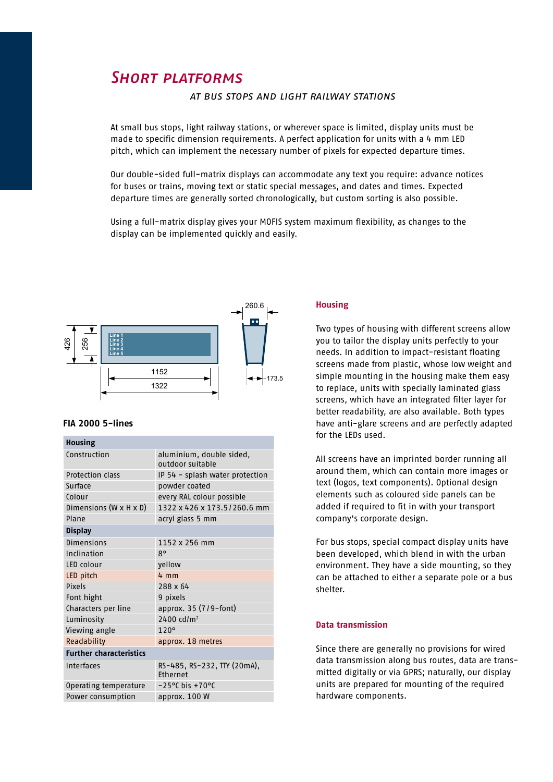### *Short platforms*

#### at bus stops and light railway stations

At small bus stops, light railway stations, or wherever space is limited, display units must be made to specific dimension requirements. A perfect application for units with a 4 mm LED pitch, which can implement the necessary number of pixels for expected departure times.

Our double-sided full-matrix displays can accommodate any text you require: advance notices for buses or trains, moving text or static special messages, and dates and times. Expected departure times are generally sorted chronologically, but custom sorting is also possible.

Using a full-matrix display gives your MOFIS system maximum flexibility, as changes to the display can be implemented quickly and easily.



#### **FIA 2000 5-lines**

#### **Housing**

| Construction                         | aluminium, double sided,<br>outdoor suitable |
|--------------------------------------|----------------------------------------------|
| Protection class                     | IP 54 - splash water protection              |
| Surface                              | powder coated                                |
| Colour                               | every RAL colour possible                    |
| Dimensions (W $\times$ H $\times$ D) | 1322 x 426 x 173.5/260.6 mm                  |
| Plane                                | acryl glass 5 mm                             |
| <b>Display</b>                       |                                              |
| <b>Dimensions</b>                    | 1152 x 256 mm                                |
| Inclination                          | 8°                                           |
| LED colour                           | yellow                                       |
| LED pitch                            | $4 \, \text{mm}$                             |
| Pixels                               | 288 x 64                                     |
| Font hight                           | 9 pixels                                     |
| Characters per line                  | approx. 35 (7/9-font)                        |
| Luminosity                           | $2400$ cd/m <sup>2</sup>                     |
| Viewing angle                        | 120°                                         |
| Readability                          | approx. 18 metres                            |
| <b>Further characteristics</b>       |                                              |
| Interfaces                           | RS-485, RS-232, TTY (20mA),<br>Ethernet      |
| Operating temperature                | $-25^{\circ}$ C bis +70 $^{\circ}$ C         |
| Power consumption                    | approx. 100 W                                |
|                                      |                                              |

#### **Housing**

Two types of housing with different screens allow you to tailor the display units perfectly to your needs. In addition to impact-resistant floating screens made from plastic, whose low weight and simple mounting in the housing make them easy to replace, units with specially laminated glass screens, which have an integrated filter layer for better readability, are also available. Both types have anti-glare screens and are perfectly adapted for the LEDs used.

All screens have an imprinted border running all around them, which can contain more images or text (logos, text components). Optional design elements such as coloured side panels can be added if required to fit in with your transport company's corporate design.

For bus stops, special compact display units have been developed, which blend in with the urban environment. They have a side mounting, so they can be attached to either a separate pole or a bus shelter.

#### **Data transmission**

Since there are generally no provisions for wired data transmission along bus routes, data are transmitted digitally or via GPRS; naturally, our display units are prepared for mounting of the required hardware components.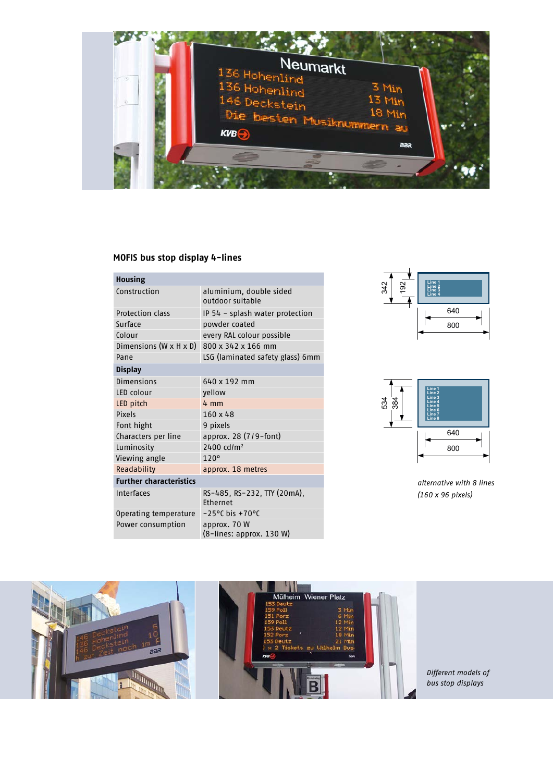

### **MOFIS bus stop display 4-lines**

| <b>Housing</b>                 |                                                |
|--------------------------------|------------------------------------------------|
| Construction                   | aluminium, double sided<br>outdoor suitable    |
| Protection class               | IP 54 - splash water protection                |
| Surface                        | powder coated                                  |
| Colour                         | every RAL colour possible                      |
| Dimensions (W x H x D)         | 800 x 342 x 166 mm                             |
| Pane                           | LSG (laminated safety glass) 6mm               |
| <b>Display</b>                 |                                                |
| Dimensions                     | 640 x 192 mm                                   |
| LED colour                     | yellow                                         |
| LED pitch                      | $4 \, \text{mm}$                               |
| Pixels                         | $160 \times 48$                                |
| Font hight                     | 9 pixels                                       |
| Characters per line            | approx. 28 $(7/9$ -font)                       |
| Luminosity                     | $2400$ cd/m <sup>2</sup>                       |
| Viewing angle                  | 120°                                           |
| Readability                    | approx. 18 metres                              |
| <b>Further characteristics</b> |                                                |
| Interfaces                     | RS-485, RS-232, TTY (20mA),<br><b>Fthernet</b> |
| Operating temperature          | $-25^{\circ}$ C bis $+70^{\circ}$ C            |
| Power consumption              | approx. 70 W<br>(8-lines: approx. 130 W)       |









*Different models of bus stop displays*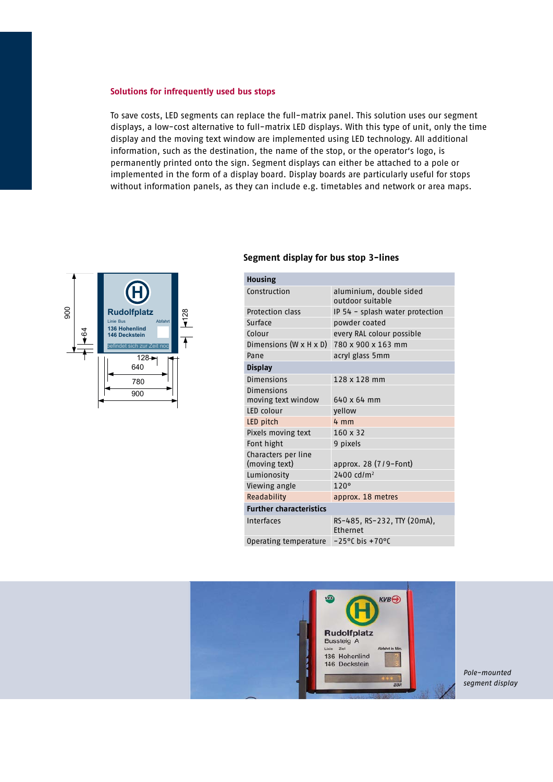#### **Solutions for infrequently used bus stops**

To save costs, LED segments can replace the full-matrix panel. This solution uses our segment displays, a low-cost alternative to full-matrix LED displays. With this type of unit, only the time display and the moving text window are implemented using LED technology. All additional information, such as the destination, the name of the stop, or the operator's logo, is permanently printed onto the sign. Segment displays can either be attached to a pole or implemented in the form of a display board. Display boards are particularly useful for stops without information panels, as they can include e.g. timetables and network or area maps.



#### **Segment display for bus stop 3-lines**

| <b>Housing</b>                       |                                                |
|--------------------------------------|------------------------------------------------|
| Construction                         | aluminium, double sided<br>outdoor suitable    |
| Protection class                     | IP 54 - splash water protection                |
| Surface                              | powder coated                                  |
| Colour                               | every RAL colour possible                      |
| Dimensions $(W \times H \times D)$   | 780 x 900 x 163 mm                             |
| Pane                                 | acryl glass 5mm                                |
| <b>Display</b>                       |                                                |
| Dimensions                           | 128 x 128 mm                                   |
| Dimensions                           |                                                |
| moving text window                   | $640 \times 64$ mm                             |
| LED colour                           | yellow                                         |
| LED pitch                            | $4 \, \text{mm}$                               |
| Pixels moving text                   | 160 x 32                                       |
| Font hight                           | 9 pixels                                       |
| Characters per line<br>(moving text) | approx. 28 (7/9-Font)                          |
| Lumionosity                          | 2400 cd/m <sup>2</sup>                         |
| Viewing angle                        | 120°                                           |
| Readability                          | approx. 18 metres                              |
| <b>Further characteristics</b>       |                                                |
| Interfaces                           | RS-485, RS-232, TTY (20mA),<br><b>Fthernet</b> |
| Operating temperature                | $-25^{\circ}$ C bis +70°C                      |



*Pole-mounted segment display*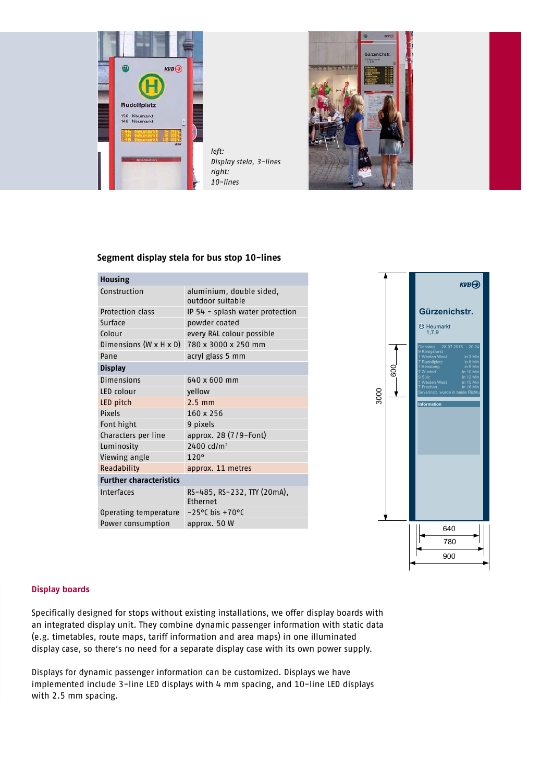

*left: Display stela, 3-lines right: 10-lines*



#### **Segment display stela for bus stop 10-lines**

| <b>Housing</b>                     |                                                |
|------------------------------------|------------------------------------------------|
| Construction                       | aluminium, double sided,<br>outdoor suitable   |
| <b>Protection class</b>            | IP 54 - splash water protection                |
| Surface                            | powder coated                                  |
| Colour                             | every RAL colour possible                      |
| Dimensions $(W \times H \times D)$ | 780 x 3000 x 250 mm                            |
| Pane                               | acryl glass 5 mm                               |
| <b>Display</b>                     |                                                |
| <b>Dimensions</b>                  | 640 x 600 mm                                   |
| LED colour                         | yellow                                         |
| LED pitch                          | $2.5 \text{ mm}$                               |
| Pixels                             | 160 x 256                                      |
| Font hight                         | 9 pixels                                       |
| Characters per line                | approx. 28 (7/9-Font)                          |
| Luminosity                         | $2400$ cd/m <sup>2</sup>                       |
| Viewing angle                      | 120°                                           |
| Readability                        | approx. 11 metres                              |
| <b>Further characteristics</b>     |                                                |
| Interfaces                         | RS-485, RS-232, TTY (20mA),<br><b>Fthernet</b> |
| Operating temperature              | $-25^{\circ}$ C bis $+70^{\circ}$ C            |
| Power consumption                  | approx. 50 W                                   |



#### **Display boards**

Specifically designed for stops without existing installations, we offer display boards with an integrated display unit. They combine dynamic passenger information with static data (e.g. timetables, route maps, tariff information and area maps) in one illuminated display case, so there's no need for a separate display case with its own power supply.

Displays for dynamic passenger information can be customized. Displays we have implemented include 3-line LED displays with 4 mm spacing, and 10-line LED displays with 2.5 mm spacing.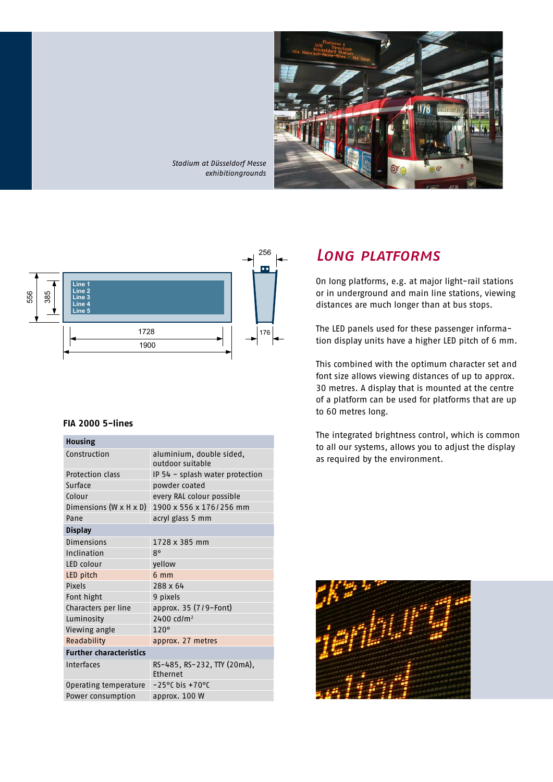

*Stadium at Düsseldorf Messe exhibitiongrounds*



#### **FIA 2000 5-lines**

#### **Housing**

| Construction                       | aluminium, double sided,<br>outdoor suitable |
|------------------------------------|----------------------------------------------|
| <b>Protection class</b>            | IP 54 - splash water protection              |
| Surface                            | powder coated                                |
| Colour                             | every RAL colour possible                    |
| Dimensions $(W \times H \times D)$ | 1900 x 556 x 176/256 mm                      |
| Pane                               | acryl glass 5 mm                             |
| <b>Display</b>                     |                                              |
| <b>Dimensions</b>                  | 1728 x 385 mm                                |
| Inclination                        | 8°                                           |
| LED colour                         | yellow                                       |
| LED pitch                          | $6 \text{ mm}$                               |
| <b>Pixels</b>                      | 288 x 64                                     |
| Font hight                         | 9 pixels                                     |
| Characters per line                | approx. 35 (7/9-Font)                        |
| Luminosity                         | $2400$ cd/m <sup>2</sup>                     |
| Viewing angle                      | 120°                                         |
| Readability                        | approx. 27 metres                            |
| <b>Further characteristics</b>     |                                              |
| Interfaces                         | RS-485, RS-232, TTY (20mA),<br>Ethernet      |
| Operating temperature              | $-25^{\circ}$ C bis +70 $^{\circ}$ C         |
| Power consumption                  | approx. 100 W                                |

### *Long platforms*

On long platforms, e.g. at major light-rail stations or in underground and main line stations, viewing distances are much longer than at bus stops.

The LED panels used for these passenger information display units have a higher LED pitch of 6 mm.

This combined with the optimum character set and font size allows viewing distances of up to approx. 30 metres. A display that is mounted at the centre of a platform can be used for platforms that are up to 60 metres long.

The integrated brightness control, which is common to all our systems, allows you to adjust the display as required by the environment.

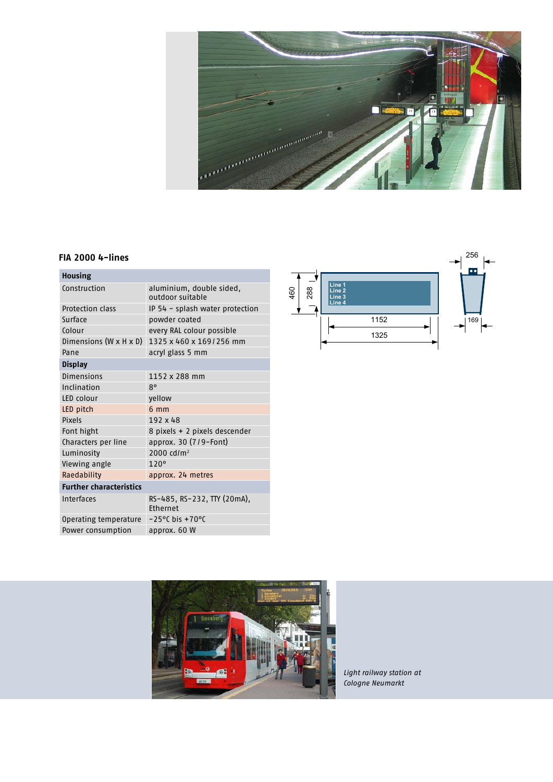

#### **FIA 2000 4-lines**

| <b>Housing</b>                     |                                                |
|------------------------------------|------------------------------------------------|
| Construction                       | aluminium, double sided,<br>outdoor suitable   |
| <b>Protection class</b>            | IP 54 - splash water protection                |
| Surface                            | powder coated                                  |
| Colour                             | every RAL colour possible                      |
| Dimensions $(W \times H \times D)$ | 1325 x 460 x 169/256 mm                        |
| Pane                               | acryl glass 5 mm                               |
| <b>Display</b>                     |                                                |
| Dimensions                         | 1152 x 288 mm                                  |
| Inclination                        | 8°                                             |
| LED colour                         | yellow                                         |
| LED pitch                          | $6 \, \text{mm}$                               |
| Pixels                             | 192 x 48                                       |
| Font hight                         | 8 pixels + 2 pixels descender                  |
| Characters per line                | approx. 30 (7/9-Font)                          |
| Luminosity                         | 2000 cd/m <sup>2</sup>                         |
| Viewing angle                      | 120°                                           |
| Raedability                        | approx. 24 metres                              |
| <b>Further characteristics</b>     |                                                |
| Interfaces                         | RS-485, RS-232, TTY (20mA),<br><b>Fthernet</b> |
| Operating temperature              | $-25^{\circ}$ C bis $+70^{\circ}$ C            |
| Power consumption                  | approx. 60 W                                   |





*Light railway station at Cologne Neumarkt*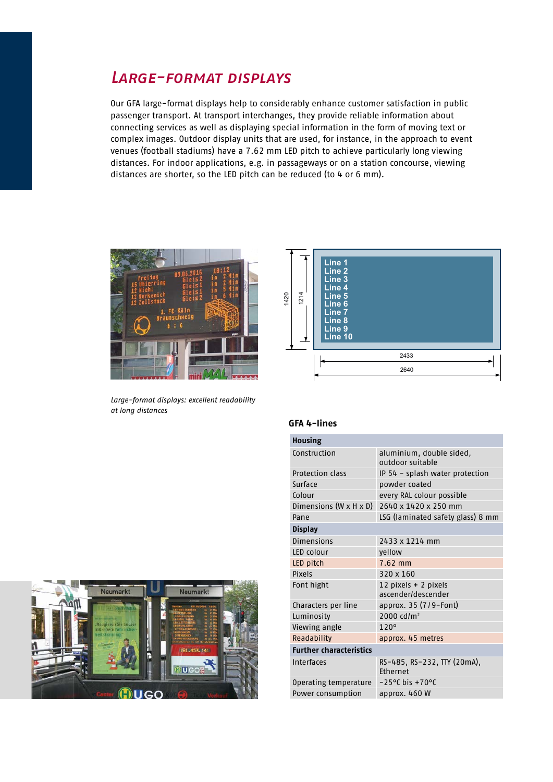### *Large-format displays*

Our GFA large-format displays help to considerably enhance customer satisfaction in public passenger transport. At transport interchanges, they provide reliable information about connecting services as well as displaying special information in the form of moving text or complex images. Outdoor display units that are used, for instance, in the approach to event venues (football stadiums) have a 7.62 mm LED pitch to achieve particularly long viewing distances. For indoor applications, e.g. in passageways or on a station concourse, viewing distances are shorter, so the LED pitch can be reduced (to 4 or 6 mm).



*Large-format displays: excellent readability at long distances*



#### **GFA 4-lines**

| Housing                        |                                                |
|--------------------------------|------------------------------------------------|
| Construction                   | aluminium, double sided,<br>outdoor suitable   |
| <b>Protection class</b>        | IP 54 - splash water protection                |
| Surface                        | powder coated                                  |
| Colour                         | every RAL colour possible                      |
| Dimensions (W x H x D)         | 2640 x 1420 x 250 mm                           |
| Pane                           | LSG (laminated safety glass) 8 mm              |
| <b>Display</b>                 |                                                |
| Dimensions                     | 2433 x 1214 mm                                 |
| LED colour                     | yellow                                         |
| LED pitch                      | 7.62 mm                                        |
| Pixels                         | 320 x 160                                      |
| Font hight                     | 12 pixels + 2 pixels<br>ascender/descender     |
| Characters per line            | approx. $35(7/9 -$ Font)                       |
| Luminosity                     | 2000 cd/m <sup>2</sup>                         |
| Viewing angle                  | 120°                                           |
| Readability                    | approx. 45 metres                              |
| <b>Further characteristics</b> |                                                |
| Interfaces                     | RS-485, RS-232, TTY (20mA),<br><b>Fthernet</b> |
| Operating temperature          | $-25^{\circ}$ C bis $+70^{\circ}$ C            |
| Power consumption              | approx. 460 W                                  |
|                                |                                                |

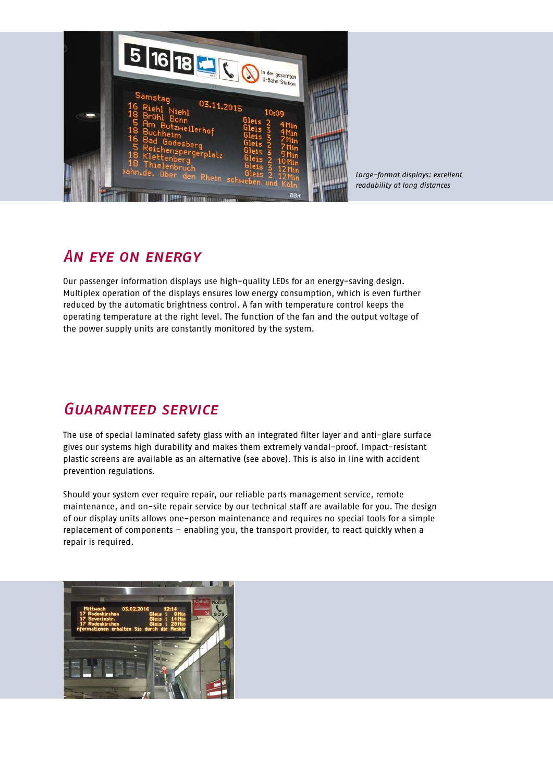

*Large-format displays: excellent readability at long distances*

### *An eye on energy*

Our passenger information displays use high-quality LEDs for an energy-saving design. Multiplex operation of the displays ensures low energy consumption, which is even further reduced by the automatic brightness control. A fan with temperature control keeps the operating temperature at the right level. The function of the fan and the output voltage of the power supply units are constantly monitored by the system.

## *Guaranteed service*

The use of special laminated safety glass with an integrated filter layer and anti-glare surface gives our systems high durability and makes them extremely vandal-proof. Impact-resistant plastic screens are available as an alternative (see above). This is also in line with accident prevention regulations.

Should your system ever require repair, our reliable parts management service, remote maintenance, and on-site repair service by our technical staff are available for you. The design of our display units allows one-person maintenance and requires no special tools for a simple replacement of components – enabling you, the transport provider, to react quickly when a repair is required.